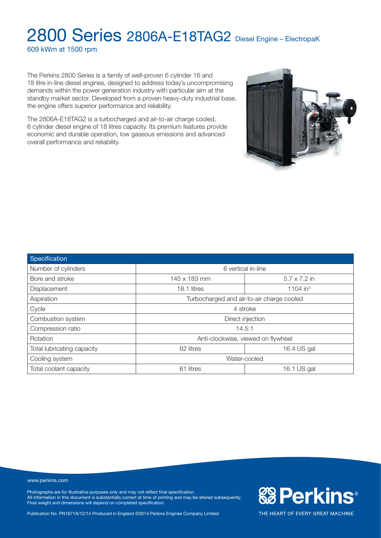609 kWm at 1500 rpm

The Perkins 2800 Series is a family of well-proven 6 cylinder 16 and 18 litre in-line diesel engines, designed to address today's uncompromising demands within the power generation industry with particular aim at the standby market sector. Developed from a proven heavy-duty industrial base, the engine offers superior performance and reliability.

The 2806A-E18TAG2 is a turbocharged and air-to-air charge cooled, 6 cylinder diesel engine of 18 litres capacity. Its premium features provide economic and durable operation, low gaseous emissions and advanced overall performance and reliability.



www.perkins.com

Photographs are for illustrative purposes only and may not reflect final specification. All information in this document is substantially correct at time of printing and may be altered subsequently. Final weight and dimensions will depend on completed specification.

Publication No. PN1871A/12/14 Produced in England ©2014 Perkins Engines Company Limited



**& Perkins®**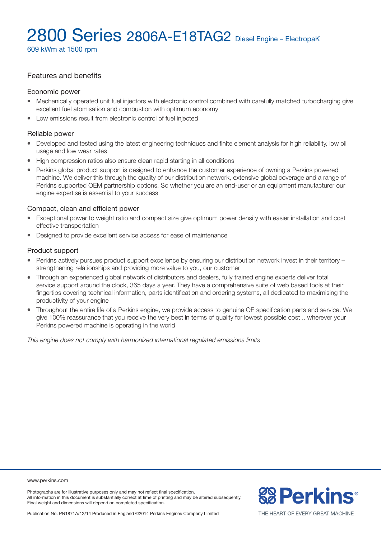609 kWm at 1500 rpm

# Features and benefits

#### Economic power

- Mechanically operated unit fuel injectors with electronic control combined with carefully matched turbocharging give excellent fuel atomisation and combustion with optimum economy
- Low emissions result from electronic control of fuel injected

#### Reliable power

- Developed and tested using the latest engineering techniques and finite element analysis for high reliability, low oil usage and low wear rates
- High compression ratios also ensure clean rapid starting in all conditions
- <sup>l</sup> Perkins global product support is designed to enhance the customer experience of owning a Perkins powered machine. We deliver this through the quality of our distribution network, extensive global coverage and a range of Perkins supported OEM partnership options. So whether you are an end-user or an equipment manufacturer our engine expertise is essential to your success

#### Compact, clean and efficient power

- Exceptional power to weight ratio and compact size give optimum power density with easier installation and cost effective transportation
- Designed to provide excellent service access for ease of maintenance

#### Product support

- Perkins actively pursues product support excellence by ensuring our distribution network invest in their territory strengthening relationships and providing more value to you, our customer
- Through an experienced global network of distributors and dealers, fully trained engine experts deliver total service support around the clock, 365 days a year. They have a comprehensive suite of web based tools at their fingertips covering technical information, parts identification and ordering systems, all dedicated to maximising the productivity of your engine
- Throughout the entire life of a Perkins engine, we provide access to genuine OE specification parts and service. We give 100% reassurance that you receive the very best in terms of quality for lowest possible cost .. wherever your Perkins powered machine is operating in the world

*This engine does not comply with harmonized international regulated emissions limits*

www.perkins.com

Photographs are for illustrative purposes only and may not reflect final specification. All information in this document is substantially correct at time of printing and may be altered subsequently. Final weight and dimensions will depend on completed specification.

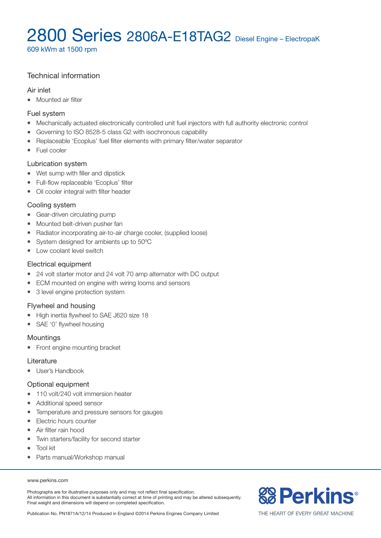609 kWm at 1500 rpm

# Technical information

### Air inlet

• Mounted air filter

### Fuel system

- Mechanically actuated electronically controlled unit fuel injectors with full authority electronic control
- Governing to ISO 8528-5 class G2 with isochronous capability
- Replaceable 'Ecoplus' fuel filter elements with primary filter/water separator
- Fuel cooler

# Lubrication system

- Wet sump with filler and dipstick
- Full-flow replaceable 'Ecoplus' filter
- Oil cooler integral with filter header

# Cooling system

- Gear-driven circulating pump
- Mounted belt-driven pusher fan
- Radiator incorporating air-to-air charge cooler, (supplied loose)
- System designed for ambients up to 50°C
- Low coolant level switch

# Electrical equipment

- 24 volt starter motor and 24 volt 70 amp alternator with DC output
- ECM mounted on engine with wiring looms and sensors
- 3 level engine protection system

# Flywheel and housing

- High inertia flywheel to SAE J620 size 18
- SAE '0' flywheel housing

#### **Mountings**

• Front engine mounting bracket

#### Literature

• User's Handbook

# Optional equipment

- 110 volt/240 volt immersion heater
- Additional speed sensor
- Temperature and pressure sensors for gauges
- Electric hours counter
- Air filter rain hood
- Twin starters/facility for second starter
- Tool kit
- Parts manual/Workshop manual

#### www.perkins.com

Photographs are for illustrative purposes only and may not reflect final specification. All information in this document is substantially correct at time of printing and may be altered subsequently. Final weight and dimensions will depend on completed specification.

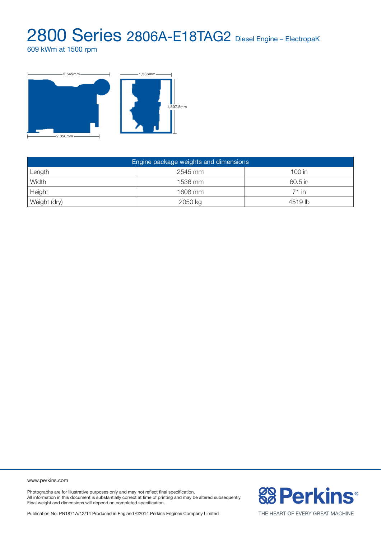609 kWm at 1500 rpm



| Engine package weights and dimensions |         |         |  |  |  |  |
|---------------------------------------|---------|---------|--|--|--|--|
| Length                                | 2545 mm | 100 in  |  |  |  |  |
| Width                                 | 1536 mm | 60.5 in |  |  |  |  |
| Height                                | 1808 mm | 71 in   |  |  |  |  |
| Weight (dry)                          | 2050 kg | 4519 lb |  |  |  |  |

www.perkins.com

Photographs are for illustrative purposes only and may not reflect final specification. All information in this document is substantially correct at time of printing and may be altered subsequently. Final weight and dimensions will depend on completed specification.

Publication No. PN1871A/12/14 Produced in England ©2014 Perkins Engines Company Limited